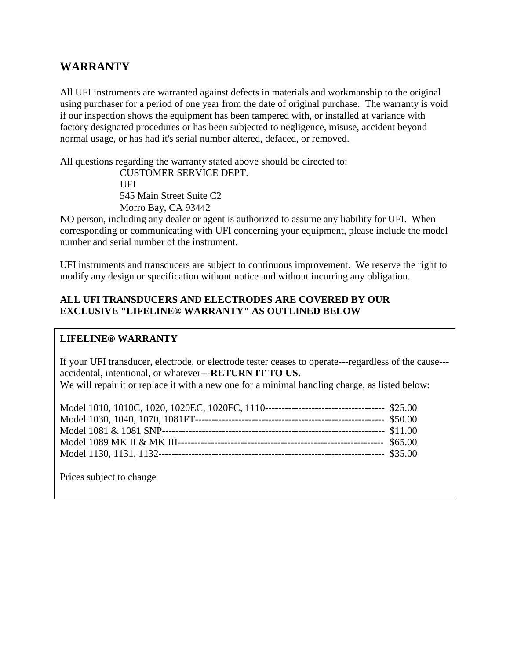# **WARRANTY**

All UFI instruments are warranted against defects in materials and workmanship to the original using purchaser for a period of one year from the date of original purchase. The warranty is void if our inspection shows the equipment has been tampered with, or installed at variance with factory designated procedures or has been subjected to negligence, misuse, accident beyond normal usage, or has had it's serial number altered, defaced, or removed.

All questions regarding the warranty stated above should be directed to:

 CUSTOMER SERVICE DEPT. UFI 545 Main Street Suite C2 Morro Bay, CA 93442

NO person, including any dealer or agent is authorized to assume any liability for UFI. When corresponding or communicating with UFI concerning your equipment, please include the model number and serial number of the instrument.

UFI instruments and transducers are subject to continuous improvement. We reserve the right to modify any design or specification without notice and without incurring any obligation.

#### **ALL UFI TRANSDUCERS AND ELECTRODES ARE COVERED BY OUR EXCLUSIVE "LIFELINE® WARRANTY" AS OUTLINED BELOW**

## **LIFELINE® WARRANTY**

If your UFI transducer, electrode, or electrode tester ceases to operate---regardless of the cause-- accidental, intentional, or whatever---**RETURN IT TO US.** We will repair it or replace it with a new one for a minimal handling charge, as listed below:

Prices subject to change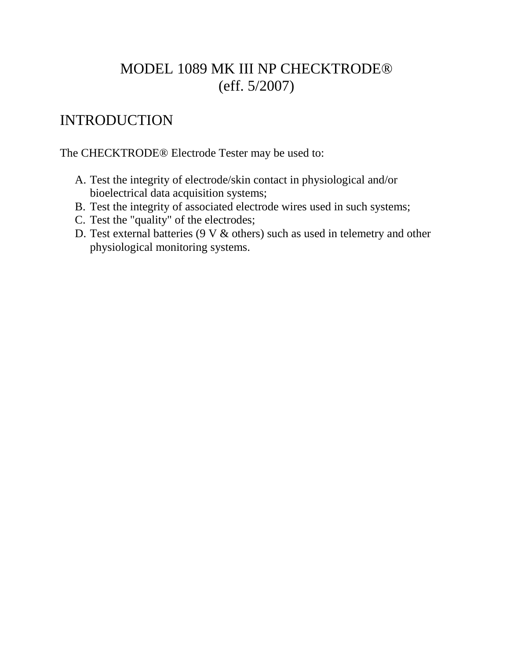# MODEL 1089 MK III NP CHECKTRODE® (eff. 5/2007)

# INTRODUCTION

The CHECKTRODE® Electrode Tester may be used to:

- A. Test the integrity of electrode/skin contact in physiological and/or bioelectrical data acquisition systems;
- B. Test the integrity of associated electrode wires used in such systems;
- C. Test the "quality" of the electrodes;
- D. Test external batteries (9 V & others) such as used in telemetry and other physiological monitoring systems.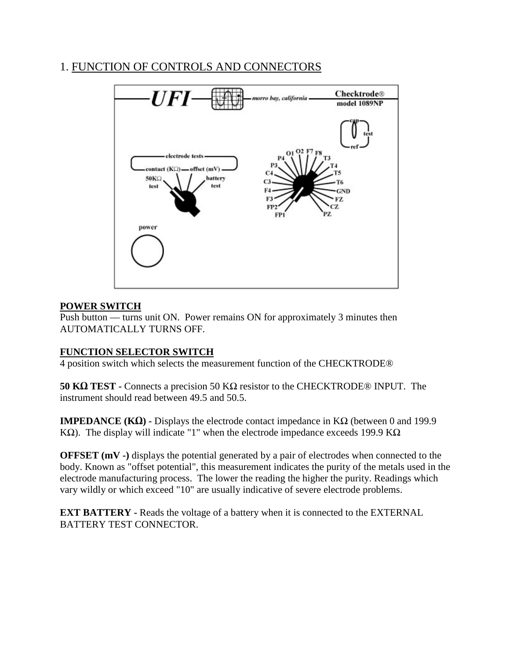# 1. FUNCTION OF CONTROLS AND CONNECTORS



## **POWER SWITCH**

Push button — turns unit ON. Power remains ON for approximately 3 minutes then AUTOMATICALLY TURNS OFF.

## **FUNCTION SELECTOR SWITCH**

4 position switch which selects the measurement function of the CHECKTRODE®

**50 K**Ω **TEST -** Connects a precision 50 KΩ resistor to the CHECKTRODE® INPUT. The instrument should read between 49.5 and 50.5.

**IMPEDANCE (K**Ω**) -** Displays the electrode contact impedance in KΩ (between 0 and 199.9 K $\Omega$ ). The display will indicate "1" when the electrode impedance exceeds 199.9 K $\Omega$ 

**OFFSET** (mV -) displays the potential generated by a pair of electrodes when connected to the body. Known as "offset potential", this measurement indicates the purity of the metals used in the electrode manufacturing process. The lower the reading the higher the purity. Readings which vary wildly or which exceed "10" are usually indicative of severe electrode problems.

**EXT BATTERY** - Reads the voltage of a battery when it is connected to the EXTERNAL BATTERY TEST CONNECTOR.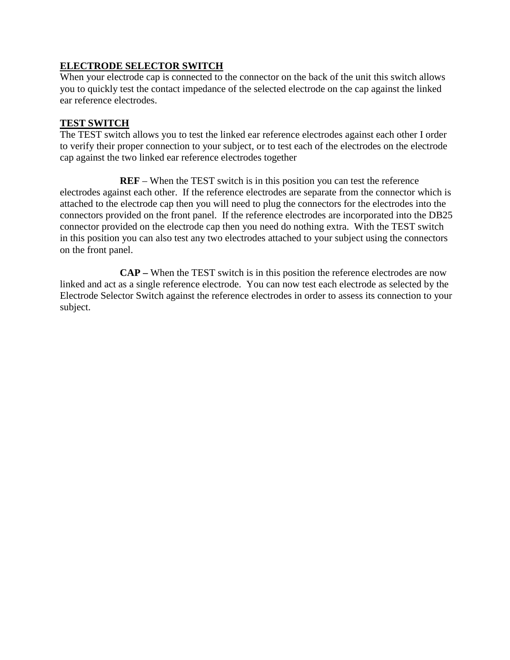#### **ELECTRODE SELECTOR SWITCH**

When your electrode cap is connected to the connector on the back of the unit this switch allows you to quickly test the contact impedance of the selected electrode on the cap against the linked ear reference electrodes.

#### **TEST SWITCH**

The TEST switch allows you to test the linked ear reference electrodes against each other I order to verify their proper connection to your subject, or to test each of the electrodes on the electrode cap against the two linked ear reference electrodes together

**REF** – When the TEST switch is in this position you can test the reference electrodes against each other. If the reference electrodes are separate from the connector which is attached to the electrode cap then you will need to plug the connectors for the electrodes into the connectors provided on the front panel. If the reference electrodes are incorporated into the DB25 connector provided on the electrode cap then you need do nothing extra. With the TEST switch in this position you can also test any two electrodes attached to your subject using the connectors on the front panel.

 **CAP –** When the TEST switch is in this position the reference electrodes are now linked and act as a single reference electrode. You can now test each electrode as selected by the Electrode Selector Switch against the reference electrodes in order to assess its connection to your subject.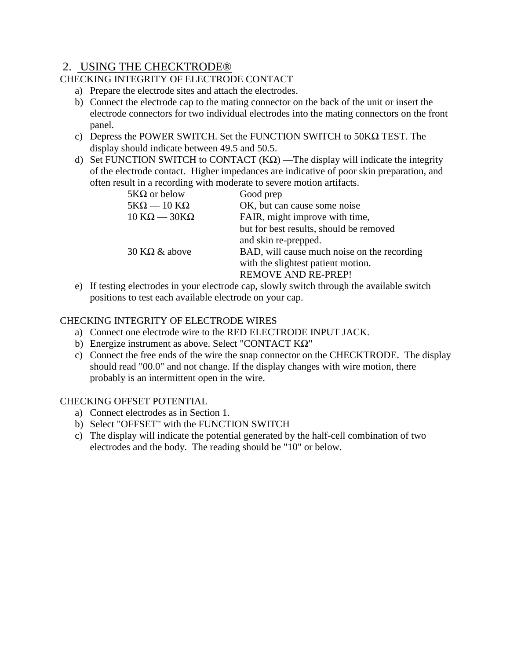# 2. USING THE CHECKTRODE®

#### CHECKING INTEGRITY OF ELECTRODE CONTACT

- a) Prepare the electrode sites and attach the electrodes.
- b) Connect the electrode cap to the mating connector on the back of the unit or insert the electrode connectors for two individual electrodes into the mating connectors on the front panel.
- c) Depress the POWER SWITCH. Set the FUNCTION SWITCH to 50KΩ TEST. The display should indicate between 49.5 and 50.5.
- d) Set FUNCTION SWITCH to CONTACT  $(K\Omega)$  —The display will indicate the integrity of the electrode contact. Higher impedances are indicative of poor skin preparation, and often result in a recording with moderate to severe motion artifacts.

| $5K\Omega$ or below     | Good prep                                                                                                                                                                                                                         |
|-------------------------|-----------------------------------------------------------------------------------------------------------------------------------------------------------------------------------------------------------------------------------|
| $5K\Omega - 10 K\Omega$ | OK, but can cause some noise                                                                                                                                                                                                      |
| $10 KΩ - 30 KΩ$         | FAIR, might improve with time,                                                                                                                                                                                                    |
|                         | but for best results, should be removed                                                                                                                                                                                           |
|                         | and skin re-prepped.                                                                                                                                                                                                              |
| 30 K $\Omega$ & above   | BAD, will cause much noise on the recording                                                                                                                                                                                       |
|                         | with the slightest patient motion.                                                                                                                                                                                                |
|                         | <b>REMOVE AND RE-PREP!</b>                                                                                                                                                                                                        |
| .                       | $\mathbf{1}$ , and a set of the set of the set of the set of the set of the set of the set of the set of the set of the set of the set of the set of the set of the set of the set of the set of the set of the set of the set of |

e) If testing electrodes in your electrode cap, slowly switch through the available switch positions to test each available electrode on your cap.

#### CHECKING INTEGRITY OF ELECTRODE WIRES

- a) Connect one electrode wire to the RED ELECTRODE INPUT JACK.
- b) Energize instrument as above. Select "CONTACT KΩ"
- c) Connect the free ends of the wire the snap connector on the CHECKTRODE. The display should read "00.0" and not change. If the display changes with wire motion, there probably is an intermittent open in the wire.

#### CHECKING OFFSET POTENTIAL

- a) Connect electrodes as in Section 1.
- b) Select "OFFSET" with the FUNCTION SWITCH
- c) The display will indicate the potential generated by the half-cell combination of two electrodes and the body. The reading should be "10" or below.